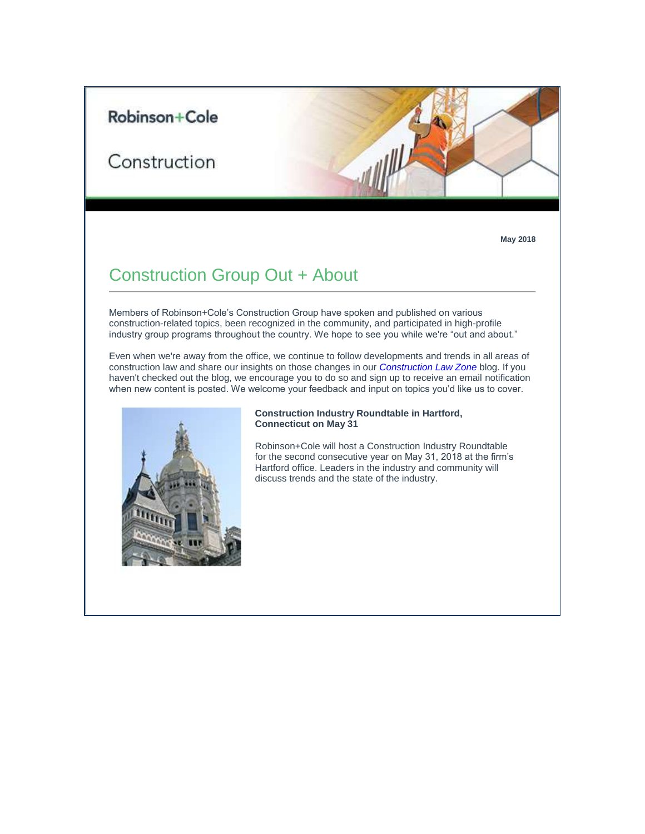# Robinson+Cole

Construction



## Construction Group Out + About

Members of Robinson+Cole's Construction Group have spoken and published on various construction-related topics, been recognized in the community, and participated in high-profile industry group programs throughout the country. We hope to see you while we're "out and about."

Even when we're away from the office, we continue to follow developments and trends in all areas of construction law and share our insights on those changes in our *[Construction Law Zone](https://protect-us.mimecast.com/s/sUujCDkxOACymRKFmbfpC?domain=t2806904.omkt.co)* blog. If you haven't checked out the blog, we encourage you to do so and sign up to receive an email notification when new content is posted. We welcome your feedback and input on topics you'd like us to cover.



#### **Construction Industry Roundtable in Hartford, Connecticut on May 31**

Robinson+Cole will host a Construction Industry Roundtable for the second consecutive year on May 31, 2018 at the firm's Hartford office. Leaders in the industry and community will discuss trends and the state of the industry.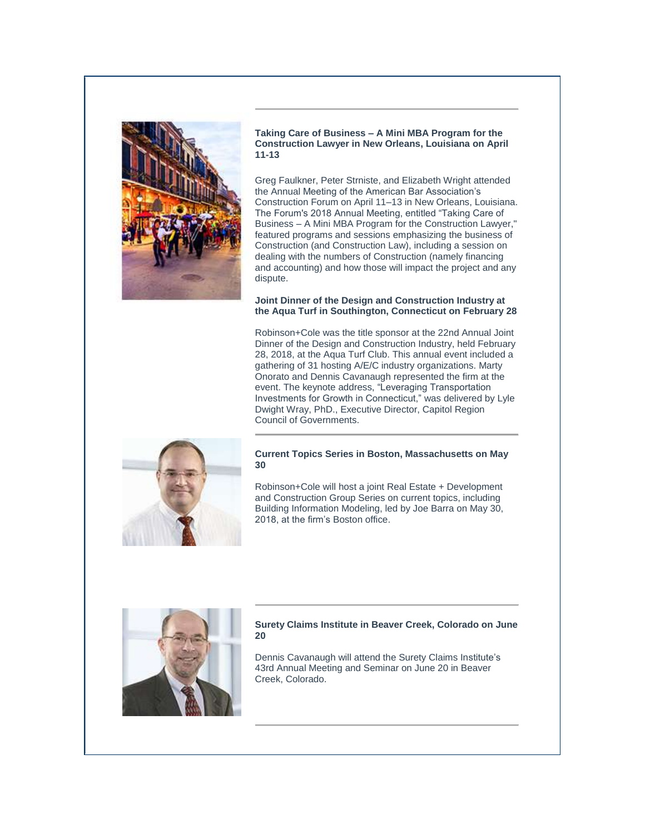

**Taking Care of Business – A Mini MBA Program for the Construction Lawyer in New Orleans, Louisiana on April 11-13**

Greg Faulkner, Peter Strniste, and Elizabeth Wright attended the Annual Meeting of the American Bar Association's Construction Forum on April 11–13 in New Orleans, Louisiana. The Forum's 2018 Annual Meeting, entitled "Taking Care of Business – A Mini MBA Program for the Construction Lawyer," featured programs and sessions emphasizing the business of Construction (and Construction Law), including a session on dealing with the numbers of Construction (namely financing and accounting) and how those will impact the project and any dispute.

## **Joint Dinner of the Design and Construction Industry at the Aqua Turf in Southington, Connecticut on February 28**

Robinson+Cole was the title sponsor at the 22nd Annual Joint Dinner of the Design and Construction Industry, held February 28, 2018, at the Aqua Turf Club. This annual event included a gathering of 31 hosting A/E/C industry organizations. Marty Onorato and Dennis Cavanaugh represented the firm at the event. The keynote address, "Leveraging Transportation Investments for Growth in Connecticut," was delivered by Lyle Dwight Wray, PhD., Executive Director, Capitol Region Council of Governments.



#### **Current Topics Series in Boston, Massachusetts on May 30**

Robinson+Cole will host a joint Real Estate + Development and Construction Group Series on current topics, including Building Information Modeling, led by Joe Barra on May 30, 2018, at the firm's Boston office.



#### **Surety Claims Institute in Beaver Creek, Colorado on June 20**

Dennis Cavanaugh will attend the Surety Claims Institute's 43rd Annual Meeting and Seminar on June 20 in Beaver Creek, Colorado.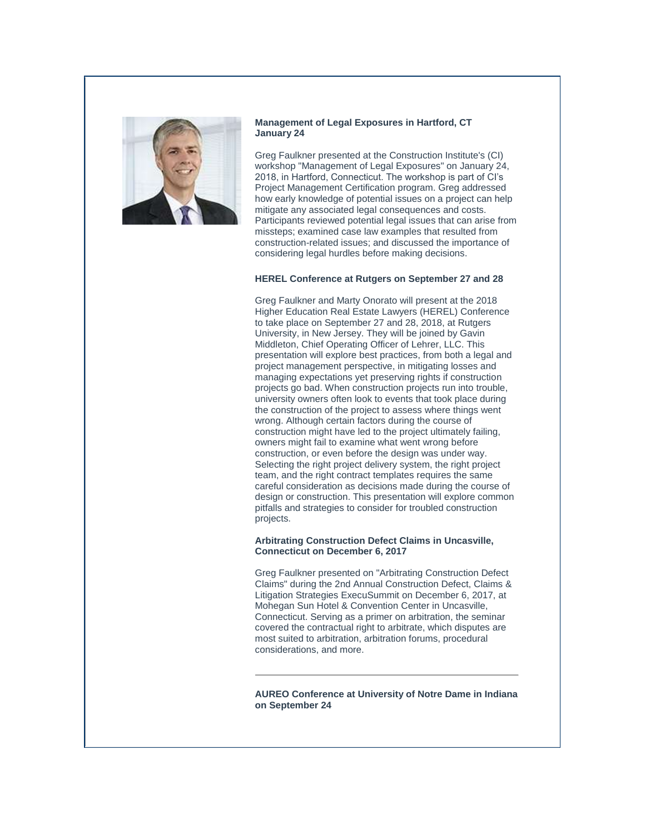

## **Management of Legal Exposures in Hartford, CT January 24**

Greg Faulkner presented at the Construction Institute's (CI) workshop "Management of Legal Exposures" on January 24, 2018, in Hartford, Connecticut. The workshop is part of CI's Project Management Certification program. Greg addressed how early knowledge of potential issues on a project can help mitigate any associated legal consequences and costs. Participants reviewed potential legal issues that can arise from missteps; examined case law examples that resulted from construction-related issues; and discussed the importance of considering legal hurdles before making decisions.

#### **HEREL Conference at Rutgers on September 27 and 28**

Greg Faulkner and Marty Onorato will present at the 2018 Higher Education Real Estate Lawyers (HEREL) Conference to take place on September 27 and 28, 2018, at Rutgers University, in New Jersey. They will be joined by Gavin Middleton, Chief Operating Officer of Lehrer, LLC. This presentation will explore best practices, from both a legal and project management perspective, in mitigating losses and managing expectations yet preserving rights if construction projects go bad. When construction projects run into trouble, university owners often look to events that took place during the construction of the project to assess where things went wrong. Although certain factors during the course of construction might have led to the project ultimately failing, owners might fail to examine what went wrong before construction, or even before the design was under way. Selecting the right project delivery system, the right project team, and the right contract templates requires the same careful consideration as decisions made during the course of design or construction. This presentation will explore common pitfalls and strategies to consider for troubled construction projects.

#### **Arbitrating Construction Defect Claims in Uncasville, Connecticut on December 6, 2017**

Greg Faulkner presented on "Arbitrating Construction Defect Claims" during the 2nd Annual Construction Defect, Claims & Litigation Strategies ExecuSummit on December 6, 2017, at Mohegan Sun Hotel & Convention Center in Uncasville, Connecticut. Serving as a primer on arbitration, the seminar covered the contractual right to arbitrate, which disputes are most suited to arbitration, arbitration forums, procedural considerations, and more.

**AUREO Conference at University of Notre Dame in Indiana on September 24**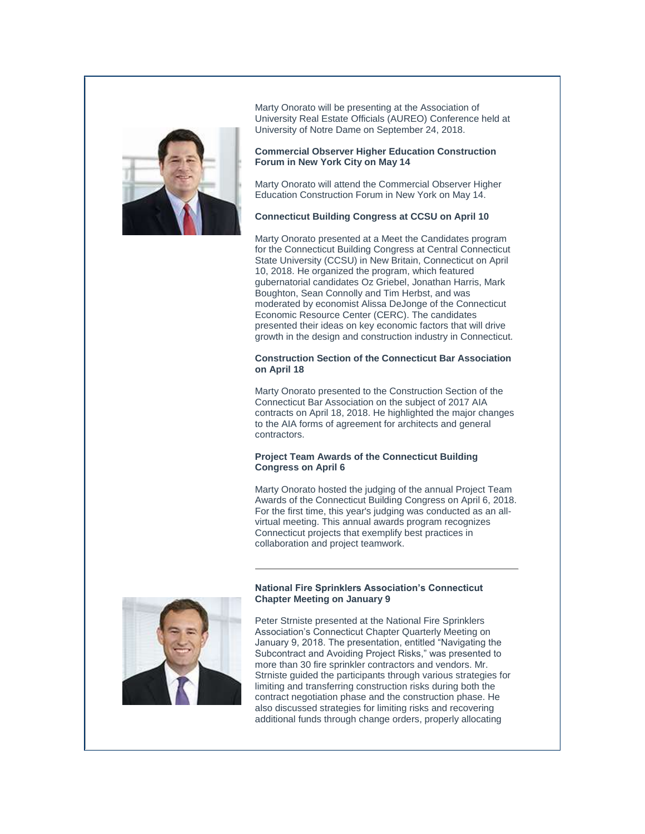

Marty Onorato will be presenting at the Association of University Real Estate Officials (AUREO) Conference held at University of Notre Dame on September 24, 2018.

## **Commercial Observer Higher Education Construction Forum in New York City on May 14**

Marty Onorato will attend the Commercial Observer Higher Education Construction Forum in New York on May 14.

## **Connecticut Building Congress at CCSU on April 10**

Marty Onorato presented at a Meet the Candidates program for the Connecticut Building Congress at Central Connecticut State University (CCSU) in New Britain, Connecticut on April 10, 2018. He organized the program, which featured gubernatorial candidates Oz Griebel, Jonathan Harris, Mark Boughton, Sean Connolly and Tim Herbst, and was moderated by economist Alissa DeJonge of the Connecticut Economic Resource Center (CERC). The candidates presented their ideas on key economic factors that will drive growth in the design and construction industry in Connecticut.

#### **Construction Section of the Connecticut Bar Association on April 18**

Marty Onorato presented to the Construction Section of the Connecticut Bar Association on the subject of 2017 AIA contracts on April 18, 2018. He highlighted the major changes to the AIA forms of agreement for architects and general contractors.

## **Project Team Awards of the Connecticut Building Congress on April 6**

Marty Onorato hosted the judging of the annual Project Team Awards of the Connecticut Building Congress on April 6, 2018. For the first time, this year's judging was conducted as an allvirtual meeting. This annual awards program recognizes Connecticut projects that exemplify best practices in collaboration and project teamwork.



## **National Fire Sprinklers Association's Connecticut Chapter Meeting on January 9**

Peter Strniste presented at the National Fire Sprinklers Association's Connecticut Chapter Quarterly Meeting on January 9, 2018. The presentation, entitled "Navigating the Subcontract and Avoiding Project Risks," was presented to more than 30 fire sprinkler contractors and vendors. Mr. Strniste guided the participants through various strategies for limiting and transferring construction risks during both the contract negotiation phase and the construction phase. He also discussed strategies for limiting risks and recovering additional funds through change orders, properly allocating